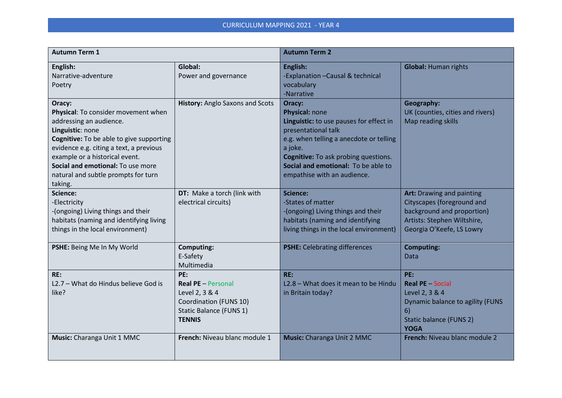| <b>Autumn Term 1</b>                                                                                                                                                                                                                                                                                         |                                                                                                                          | <b>Autumn Term 2</b>                                                                                                                                                                                                                                                  |                                                                                                                                                   |
|--------------------------------------------------------------------------------------------------------------------------------------------------------------------------------------------------------------------------------------------------------------------------------------------------------------|--------------------------------------------------------------------------------------------------------------------------|-----------------------------------------------------------------------------------------------------------------------------------------------------------------------------------------------------------------------------------------------------------------------|---------------------------------------------------------------------------------------------------------------------------------------------------|
| English:<br>Narrative-adventure<br>Poetry                                                                                                                                                                                                                                                                    | Global:<br>Power and governance                                                                                          | English:<br>-Explanation - Causal & technical<br>vocabulary<br>-Narrative                                                                                                                                                                                             | <b>Global: Human rights</b>                                                                                                                       |
| Oracy:<br>Physical: To consider movement when<br>addressing an audience.<br>Linguistic: none<br>Cognitive: To be able to give supporting<br>evidence e.g. citing a text, a previous<br>example or a historical event.<br>Social and emotional: To use more<br>natural and subtle prompts for turn<br>taking. | <b>History: Anglo Saxons and Scots</b>                                                                                   | Oracy:<br>Physical: none<br>Linguistic: to use pauses for effect in<br>presentational talk<br>e.g. when telling a anecdote or telling<br>a joke.<br><b>Cognitive:</b> To ask probing questions.<br>Social and emotional: To be able to<br>empathise with an audience. | Geography:<br>UK (counties, cities and rivers)<br>Map reading skills                                                                              |
| <b>Science:</b><br>-Electricity<br>-(ongoing) Living things and their<br>habitats (naming and identifying living<br>things in the local environment)                                                                                                                                                         | DT: Make a torch (link with<br>electrical circuits)                                                                      | <b>Science:</b><br>-States of matter<br>-(ongoing) Living things and their<br>habitats (naming and identifying<br>living things in the local environment)                                                                                                             | Art: Drawing and painting<br>Cityscapes (foreground and<br>background and proportion)<br>Artists: Stephen Wiltshire,<br>Georgia O'Keefe, LS Lowry |
| PSHE: Being Me In My World                                                                                                                                                                                                                                                                                   | <b>Computing:</b><br>E-Safety<br>Multimedia                                                                              | <b>PSHE:</b> Celebrating differences                                                                                                                                                                                                                                  | <b>Computing:</b><br>Data                                                                                                                         |
| RE:<br>L2.7 - What do Hindus believe God is<br>like?                                                                                                                                                                                                                                                         | PE:<br><b>Real PE - Personal</b><br>Level 2, 3 & 4<br>Coordination (FUNS 10)<br>Static Balance (FUNS 1)<br><b>TENNIS</b> | RE:<br>L2.8 - What does it mean to be Hindu<br>in Britain today?                                                                                                                                                                                                      | PE:<br><b>Real PE - Social</b><br>Level 2, 3 & 4<br>Dynamic balance to agility (FUNS<br>6)<br><b>Static balance (FUNS 2)</b><br><b>YOGA</b>       |
| Music: Charanga Unit 1 MMC                                                                                                                                                                                                                                                                                   | French: Niveau blanc module 1                                                                                            | Music: Charanga Unit 2 MMC                                                                                                                                                                                                                                            | French: Niveau blanc module 2                                                                                                                     |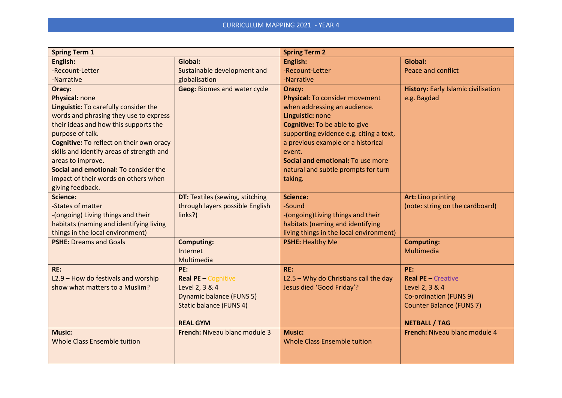| <b>Spring Term 1</b>                                                                                                                                                                                                                                                                                                                                                    |                                                                                                                                             | <b>Spring Term 2</b>                                                                                                                                                                                                                                                                                                   |                                                                                                                                         |
|-------------------------------------------------------------------------------------------------------------------------------------------------------------------------------------------------------------------------------------------------------------------------------------------------------------------------------------------------------------------------|---------------------------------------------------------------------------------------------------------------------------------------------|------------------------------------------------------------------------------------------------------------------------------------------------------------------------------------------------------------------------------------------------------------------------------------------------------------------------|-----------------------------------------------------------------------------------------------------------------------------------------|
| English:                                                                                                                                                                                                                                                                                                                                                                | Global:                                                                                                                                     | English:                                                                                                                                                                                                                                                                                                               | Global:                                                                                                                                 |
| -Recount-Letter                                                                                                                                                                                                                                                                                                                                                         | Sustainable development and                                                                                                                 | -Recount-Letter                                                                                                                                                                                                                                                                                                        | Peace and conflict                                                                                                                      |
| -Narrative                                                                                                                                                                                                                                                                                                                                                              | globalisation                                                                                                                               | -Narrative                                                                                                                                                                                                                                                                                                             |                                                                                                                                         |
| Oracy:<br>Physical: none<br>Linguistic: To carefully consider the<br>words and phrasing they use to express<br>their ideas and how this supports the<br>purpose of talk.<br>Cognitive: To reflect on their own oracy<br>skills and identify areas of strength and<br>areas to improve.<br>Social and emotional: To consider the<br>impact of their words on others when | <b>Geog: Biomes and water cycle</b>                                                                                                         | Oracy:<br>Physical: To consider movement<br>when addressing an audience.<br>Linguistic: none<br><b>Cognitive:</b> To be able to give<br>supporting evidence e.g. citing a text,<br>a previous example or a historical<br>event.<br>Social and emotional: To use more<br>natural and subtle prompts for turn<br>taking. | History: Early Islamic civilisation<br>e.g. Bagdad                                                                                      |
| giving feedback.<br>Science:<br>-States of matter<br>-(ongoing) Living things and their<br>habitats (naming and identifying living<br>things in the local environment)                                                                                                                                                                                                  | DT: Textiles (sewing, stitching<br>through layers possible English<br>links?)                                                               | <b>Science:</b><br>-Sound<br>-(ongoing) Living things and their<br>habitats (naming and identifying<br>living things in the local environment)                                                                                                                                                                         | <b>Art: Lino printing</b><br>(note: string on the cardboard)                                                                            |
| <b>PSHE: Dreams and Goals</b>                                                                                                                                                                                                                                                                                                                                           | <b>Computing:</b><br>Internet<br>Multimedia                                                                                                 | <b>PSHE: Healthy Me</b>                                                                                                                                                                                                                                                                                                | <b>Computing:</b><br>Multimedia                                                                                                         |
| RE:<br>L2.9 - How do festivals and worship<br>show what matters to a Muslim?                                                                                                                                                                                                                                                                                            | PE:<br><b>Real PE</b> - Cognitive<br>Level 2, 3 & 4<br><b>Dynamic balance (FUNS 5)</b><br><b>Static balance (FUNS 4)</b><br><b>REAL GYM</b> | RE:<br>$L2.5 - Why$ do Christians call the day<br>Jesus died 'Good Friday'?                                                                                                                                                                                                                                            | PE:<br><b>Real PE</b> - Creative<br>Level 2, 3 & 4<br>Co-ordination (FUNS 9)<br><b>Counter Balance (FUNS 7)</b><br><b>NETBALL / TAG</b> |
| <b>Music:</b><br><b>Whole Class Ensemble tuition</b>                                                                                                                                                                                                                                                                                                                    | French: Niveau blanc module 3                                                                                                               | <b>Music:</b><br><b>Whole Class Ensemble tuition</b>                                                                                                                                                                                                                                                                   | French: Niveau blanc module 4                                                                                                           |